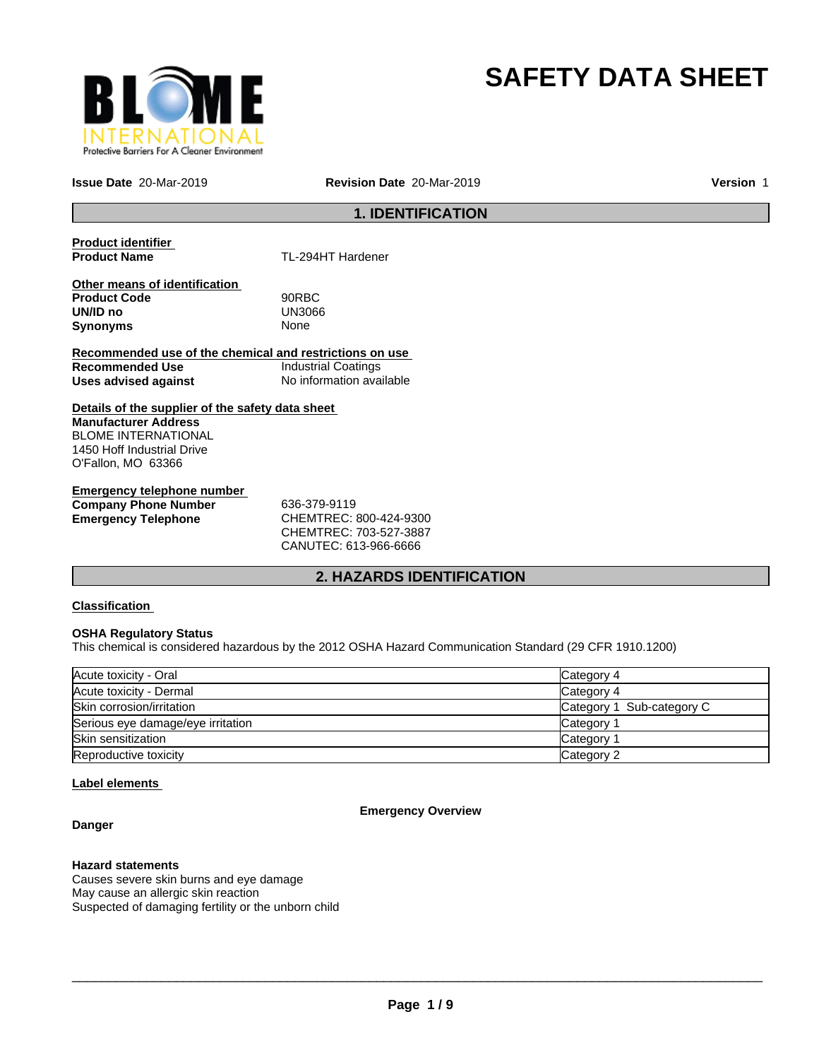

# **SAFETY DATA SHEET**

**Issue Date** 20-Mar-2019 **Revision Date** 20-Mar-2019

**Version** 1

#### **1. IDENTIFICATION**

**Product identifier** 

**Product Name** TL-294HT Hardener

**Other means of identification Product Code** 90RBC **UN/ID no** UN30<br>**Synonyms** None **Synonyms** 

**Recommended use of the chemical and restrictions on use Recommended Use Industrial Coatings**<br> **Uses advised against Internation** No information available **Uses advised against** 

**Details of the supplier of the safety data sheet Manufacturer Address** BLOME INTERNATIONAL 1450 Hoff Industrial Drive O'Fallon, MO 63366

**Emergency telephone number Company Phone Number** 636-379-9119 **Emergency Telephone** CHEMTREC: 800-424-9300

CHEMTREC: 703-527-3887 CANUTEC: 613-966-6666

### **2. HAZARDS IDENTIFICATION**

#### **Classification**

#### **OSHA Regulatory Status**

This chemical is considered hazardous by the 2012 OSHA Hazard Communication Standard (29 CFR 1910.1200)

| Acute toxicity - Oral             | Category 4                |
|-----------------------------------|---------------------------|
| Acute toxicity - Dermal           | Category 4                |
| Skin corrosion/irritation         | Category 1 Sub-category C |
| Serious eye damage/eye irritation | Category                  |
| Skin sensitization                | Category                  |
| Reproductive toxicity             | Category 2                |

#### **Label elements**

**Danger**

#### **Emergency Overview**

#### **Hazard statements**

Causes severe skin burns and eye damage May cause an allergic skin reaction Suspected of damaging fertility or the unborn child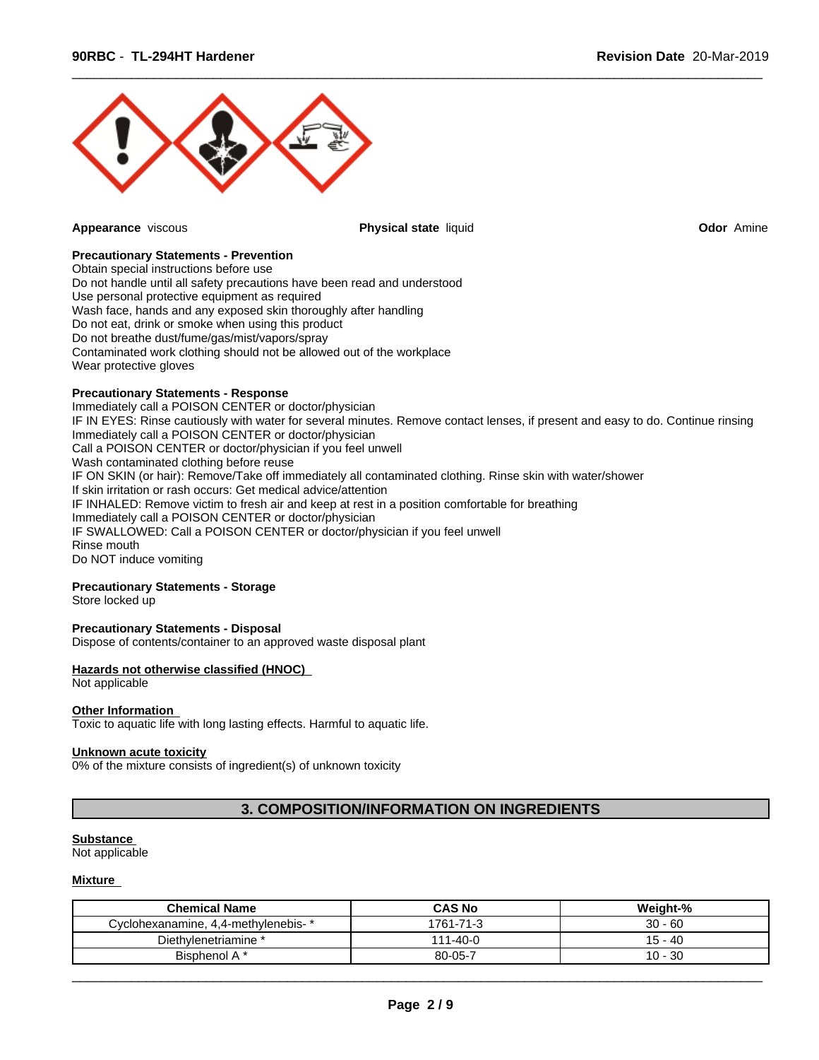

**Appearance** viscous **Physical state** liquid **Odor** Amine

 $\overline{\phantom{a}}$  ,  $\overline{\phantom{a}}$  ,  $\overline{\phantom{a}}$  ,  $\overline{\phantom{a}}$  ,  $\overline{\phantom{a}}$  ,  $\overline{\phantom{a}}$  ,  $\overline{\phantom{a}}$  ,  $\overline{\phantom{a}}$  ,  $\overline{\phantom{a}}$  ,  $\overline{\phantom{a}}$  ,  $\overline{\phantom{a}}$  ,  $\overline{\phantom{a}}$  ,  $\overline{\phantom{a}}$  ,  $\overline{\phantom{a}}$  ,  $\overline{\phantom{a}}$  ,  $\overline{\phantom{a}}$ 

#### **Precautionary Statements - Prevention**

Obtain special instructions before use Do not handle until all safety precautions have been read and understood Use personal protective equipment as required Wash face, hands and any exposed skin thoroughly after handling Do not eat, drink or smoke when using this product Do not breathe dust/fume/gas/mist/vapors/spray Contaminated work clothing should not be allowed out of the workplace Wear protective gloves

#### **Precautionary Statements - Response**

Immediately call a POISON CENTER or doctor/physician IF IN EYES: Rinse cautiously with water for several minutes. Remove contact lenses, if present and easy to do. Continue rinsing Immediately call a POISON CENTER or doctor/physician Call a POISON CENTER or doctor/physician if you feel unwell Wash contaminated clothing before reuse IF ON SKIN (or hair): Remove/Take off immediately all contaminated clothing. Rinse skin with water/shower If skin irritation or rash occurs: Get medical advice/attention IF INHALED: Remove victim to fresh air and keep at rest in a position comfortable for breathing Immediately call a POISON CENTER or doctor/physician IF SWALLOWED: Call a POISON CENTER or doctor/physician if you feel unwell Rinse mouth Do NOT induce vomiting

#### **Precautionary Statements - Storage**

Store locked up

#### **Precautionary Statements - Disposal**

Dispose of contents/container to an approved waste disposal plant

#### **Hazards not otherwise classified (HNOC)**

#### Not applicable

#### **Other Information**

Toxic to aquatic life with long lasting effects. Harmful to aquatic life.

#### **Unknown acute toxicity**

0% of the mixture consists of ingredient(s) of unknown toxicity

#### **3. COMPOSITION/INFORMATION ON INGREDIENTS**

#### **Substance**

Not applicable

#### **Mixture**

| <b>Chemical Name</b>                | <b>CAS No</b>       | Weight-%         |
|-------------------------------------|---------------------|------------------|
| Cyclohexanamine, 4,4-methylenebis-* | 1761-71-3           | $30 - 60$        |
| Diethylenetriamine *                | $1 - 40 - 0$<br>111 | 15 - 40          |
| Bisphenol A *                       | 80-05-7             | -30<br>10<br>. . |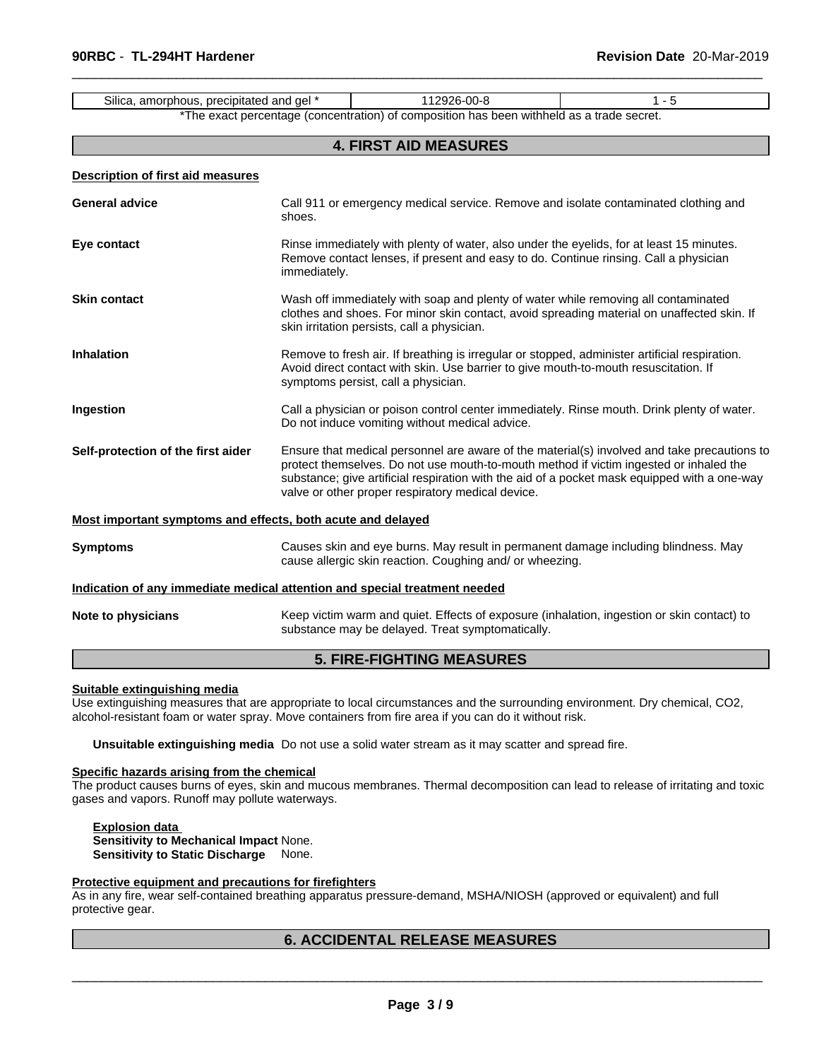|                                                                            | 112926-00-8<br>$1 - 5$<br>Silica, amorphous, precipitated and gel *                                                                                                                                                                                                                                                                        |                                                                                                                                                                                  |  |  |
|----------------------------------------------------------------------------|--------------------------------------------------------------------------------------------------------------------------------------------------------------------------------------------------------------------------------------------------------------------------------------------------------------------------------------------|----------------------------------------------------------------------------------------------------------------------------------------------------------------------------------|--|--|
|                                                                            |                                                                                                                                                                                                                                                                                                                                            | *The exact percentage (concentration) of composition has been withheld as a trade secret.                                                                                        |  |  |
|                                                                            |                                                                                                                                                                                                                                                                                                                                            | <b>4. FIRST AID MEASURES</b>                                                                                                                                                     |  |  |
| <b>Description of first aid measures</b>                                   |                                                                                                                                                                                                                                                                                                                                            |                                                                                                                                                                                  |  |  |
| <b>General advice</b>                                                      | shoes.                                                                                                                                                                                                                                                                                                                                     | Call 911 or emergency medical service. Remove and isolate contaminated clothing and                                                                                              |  |  |
| Eye contact                                                                | immediately.                                                                                                                                                                                                                                                                                                                               | Rinse immediately with plenty of water, also under the eyelids, for at least 15 minutes.<br>Remove contact lenses, if present and easy to do. Continue rinsing. Call a physician |  |  |
| <b>Skin contact</b>                                                        | Wash off immediately with soap and plenty of water while removing all contaminated<br>clothes and shoes. For minor skin contact, avoid spreading material on unaffected skin. If<br>skin irritation persists, call a physician.                                                                                                            |                                                                                                                                                                                  |  |  |
| <b>Inhalation</b>                                                          | Remove to fresh air. If breathing is irregular or stopped, administer artificial respiration.<br>Avoid direct contact with skin. Use barrier to give mouth-to-mouth resuscitation. If<br>symptoms persist, call a physician.                                                                                                               |                                                                                                                                                                                  |  |  |
| Ingestion                                                                  | Call a physician or poison control center immediately. Rinse mouth. Drink plenty of water.<br>Do not induce vomiting without medical advice.                                                                                                                                                                                               |                                                                                                                                                                                  |  |  |
| Self-protection of the first aider                                         | Ensure that medical personnel are aware of the material(s) involved and take precautions to<br>protect themselves. Do not use mouth-to-mouth method if victim ingested or inhaled the<br>substance; give artificial respiration with the aid of a pocket mask equipped with a one-way<br>valve or other proper respiratory medical device. |                                                                                                                                                                                  |  |  |
| Most important symptoms and effects, both acute and delayed                |                                                                                                                                                                                                                                                                                                                                            |                                                                                                                                                                                  |  |  |
| <b>Symptoms</b>                                                            | Causes skin and eye burns. May result in permanent damage including blindness. May<br>cause allergic skin reaction. Coughing and/ or wheezing.                                                                                                                                                                                             |                                                                                                                                                                                  |  |  |
| Indication of any immediate medical attention and special treatment needed |                                                                                                                                                                                                                                                                                                                                            |                                                                                                                                                                                  |  |  |
| Note to physicians                                                         | Keep victim warm and quiet. Effects of exposure (inhalation, ingestion or skin contact) to<br>substance may be delayed. Treat symptomatically.                                                                                                                                                                                             |                                                                                                                                                                                  |  |  |
|                                                                            |                                                                                                                                                                                                                                                                                                                                            | <b>5. FIRE-FIGHTING MEASURES</b>                                                                                                                                                 |  |  |

 $\overline{\phantom{a}}$  ,  $\overline{\phantom{a}}$  ,  $\overline{\phantom{a}}$  ,  $\overline{\phantom{a}}$  ,  $\overline{\phantom{a}}$  ,  $\overline{\phantom{a}}$  ,  $\overline{\phantom{a}}$  ,  $\overline{\phantom{a}}$  ,  $\overline{\phantom{a}}$  ,  $\overline{\phantom{a}}$  ,  $\overline{\phantom{a}}$  ,  $\overline{\phantom{a}}$  ,  $\overline{\phantom{a}}$  ,  $\overline{\phantom{a}}$  ,  $\overline{\phantom{a}}$  ,  $\overline{\phantom{a}}$ 

#### **Suitable extinguishing media**

Use extinguishing measures that are appropriate to local circumstances and the surrounding environment. Dry chemical, CO2, alcohol-resistant foam or water spray. Move containers from fire area if you can do it without risk.

**Unsuitable extinguishing media** Do not use a solid water stream as it may scatter and spread fire.

#### **Specific hazards arising from the chemical**

The product causes burns of eyes, skin and mucous membranes. Thermal decomposition can lead to release of irritating and toxic gases and vapors. Runoff may pollute waterways.

**Explosion data Sensitivity to Mechanical Impact** None. **Sensitivity to Static Discharge** None.

#### **Protective equipment and precautions for firefighters**

As in any fire, wear self-contained breathing apparatus pressure-demand, MSHA/NIOSH (approved or equivalent) and full protective gear.

#### **6. ACCIDENTAL RELEASE MEASURES**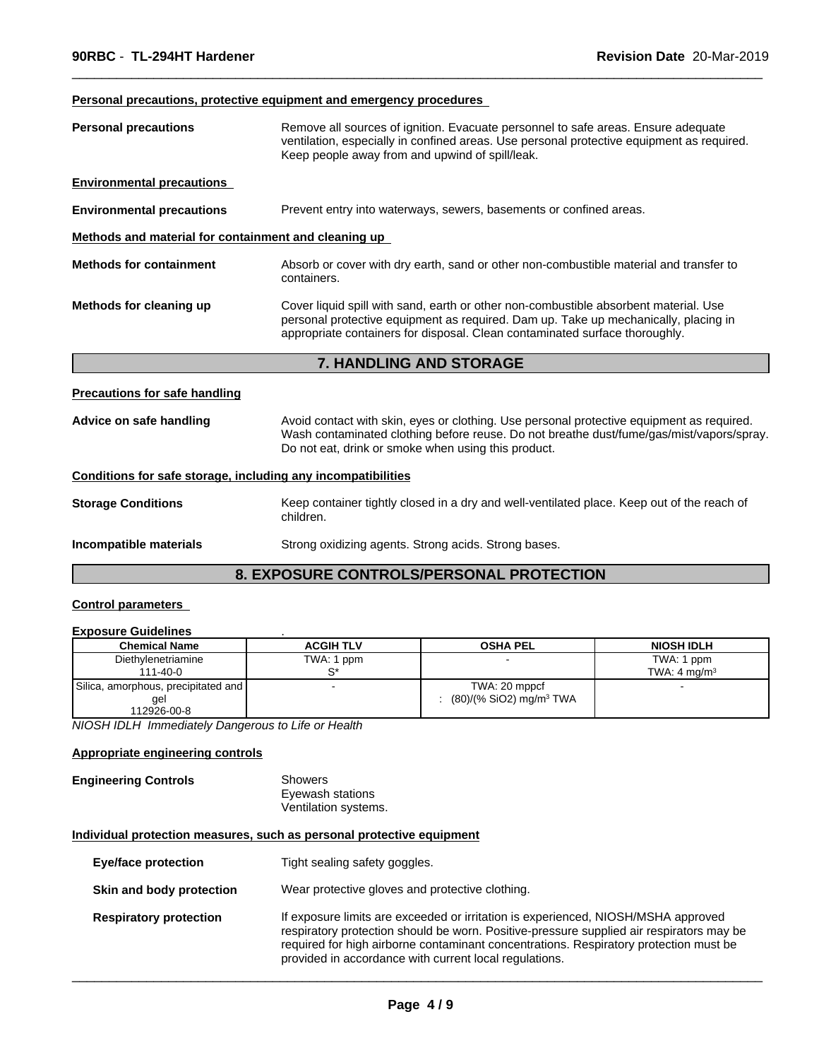#### **Personal precautions, protective equipment and emergency procedures**

| <b>Personal precautions</b>                                  | Remove all sources of ignition. Evacuate personnel to safe areas. Ensure adequate<br>ventilation, especially in confined areas. Use personal protective equipment as required.<br>Keep people away from and upwind of spill/leak.                          |  |  |  |  |
|--------------------------------------------------------------|------------------------------------------------------------------------------------------------------------------------------------------------------------------------------------------------------------------------------------------------------------|--|--|--|--|
| <b>Environmental precautions</b>                             |                                                                                                                                                                                                                                                            |  |  |  |  |
| <b>Environmental precautions</b>                             | Prevent entry into waterways, sewers, basements or confined areas.                                                                                                                                                                                         |  |  |  |  |
| Methods and material for containment and cleaning up         |                                                                                                                                                                                                                                                            |  |  |  |  |
| <b>Methods for containment</b>                               | Absorb or cover with dry earth, sand or other non-combustible material and transfer to<br>containers.                                                                                                                                                      |  |  |  |  |
| Methods for cleaning up                                      | Cover liquid spill with sand, earth or other non-combustible absorbent material. Use<br>personal protective equipment as required. Dam up. Take up mechanically, placing in<br>appropriate containers for disposal. Clean contaminated surface thoroughly. |  |  |  |  |
|                                                              | 7. HANDLING AND STORAGE                                                                                                                                                                                                                                    |  |  |  |  |
| <b>Precautions for safe handling</b>                         |                                                                                                                                                                                                                                                            |  |  |  |  |
| Advice on safe handling                                      | Avoid contact with skin, eyes or clothing. Use personal protective equipment as required.<br>Wash contaminated clothing before reuse. Do not breathe dust/fume/gas/mist/vapors/spray.<br>Do not eat, drink or smoke when using this product.               |  |  |  |  |
| Conditions for safe storage, including any incompatibilities |                                                                                                                                                                                                                                                            |  |  |  |  |
| <b>Storage Conditions</b>                                    | Keep container tightly closed in a dry and well-ventilated place. Keep out of the reach of<br>children.                                                                                                                                                    |  |  |  |  |
| Incompatible materials                                       | Strong oxidizing agents. Strong acids. Strong bases.                                                                                                                                                                                                       |  |  |  |  |
|                                                              |                                                                                                                                                                                                                                                            |  |  |  |  |

 $\overline{\phantom{a}}$  ,  $\overline{\phantom{a}}$  ,  $\overline{\phantom{a}}$  ,  $\overline{\phantom{a}}$  ,  $\overline{\phantom{a}}$  ,  $\overline{\phantom{a}}$  ,  $\overline{\phantom{a}}$  ,  $\overline{\phantom{a}}$  ,  $\overline{\phantom{a}}$  ,  $\overline{\phantom{a}}$  ,  $\overline{\phantom{a}}$  ,  $\overline{\phantom{a}}$  ,  $\overline{\phantom{a}}$  ,  $\overline{\phantom{a}}$  ,  $\overline{\phantom{a}}$  ,  $\overline{\phantom{a}}$ 

#### **8. EXPOSURE CONTROLS/PERSONAL PROTECTION**

#### **Control parameters**

#### **Exposure Guidelines** .

| <b>Chemical Name</b>                | <b>ACGIH TLV</b> | <b>OSHA PEL</b>                     | <b>NIOSH IDLH</b>       |
|-------------------------------------|------------------|-------------------------------------|-------------------------|
| Diethylenetriamine                  | TWA: 1 ppm       |                                     | TWA: 1 ppm              |
| $111 - 40 - 0$                      |                  |                                     | TWA: $4 \text{ ma/m}^3$ |
| Silica, amorphous, precipitated and |                  | TWA: 20 mppcf                       |                         |
| gel                                 |                  | (80)/(% SiO2) mg/m <sup>3</sup> TWA |                         |
| 112926-00-8                         |                  |                                     |                         |

*NIOSH IDLH Immediately Dangerous to Life or Health*

#### **Appropriate engineering controls**

| Showers              |
|----------------------|
| Eyewash stations     |
| Ventilation systems. |
|                      |

#### **Individual protection measures, such as personal protective equipment**

| <b>Eye/face protection</b>    | Tight sealing safety goggles.                                                                                                                                                                                                                                                                                                    |
|-------------------------------|----------------------------------------------------------------------------------------------------------------------------------------------------------------------------------------------------------------------------------------------------------------------------------------------------------------------------------|
| Skin and body protection      | Wear protective gloves and protective clothing.                                                                                                                                                                                                                                                                                  |
| <b>Respiratory protection</b> | If exposure limits are exceeded or irritation is experienced, NIOSH/MSHA approved<br>respiratory protection should be worn. Positive-pressure supplied air respirators may be<br>required for high airborne contaminant concentrations. Respiratory protection must be<br>provided in accordance with current local regulations. |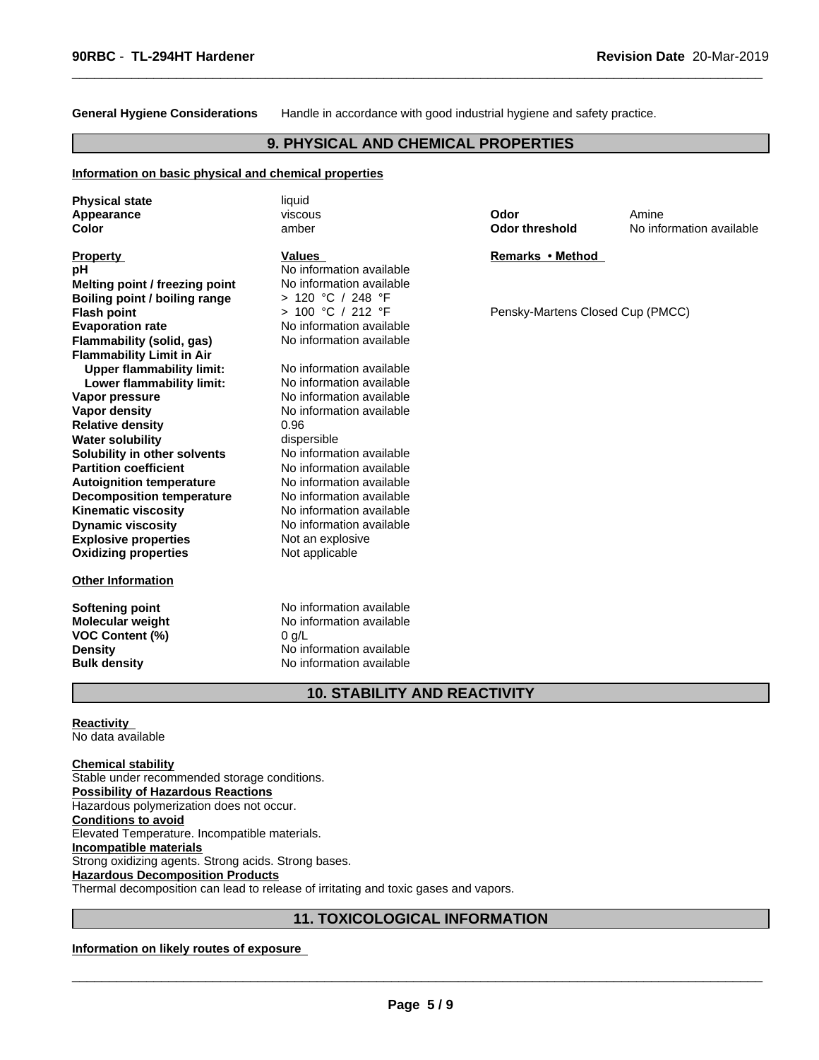**General Hygiene Considerations** Handle in accordance with good industrial hygiene and safety practice.

 $\overline{\phantom{a}}$  ,  $\overline{\phantom{a}}$  ,  $\overline{\phantom{a}}$  ,  $\overline{\phantom{a}}$  ,  $\overline{\phantom{a}}$  ,  $\overline{\phantom{a}}$  ,  $\overline{\phantom{a}}$  ,  $\overline{\phantom{a}}$  ,  $\overline{\phantom{a}}$  ,  $\overline{\phantom{a}}$  ,  $\overline{\phantom{a}}$  ,  $\overline{\phantom{a}}$  ,  $\overline{\phantom{a}}$  ,  $\overline{\phantom{a}}$  ,  $\overline{\phantom{a}}$  ,  $\overline{\phantom{a}}$ 

#### **9. PHYSICAL AND CHEMICAL PROPERTIES**

#### **Information on basic physical and chemical properties**

| <b>Physical state</b><br>Appearance<br>Color                                                                                      | liquid<br>viscous<br>amber                                                                                              | Odor<br><b>Odor threshold</b>    | Amine<br>No information available |
|-----------------------------------------------------------------------------------------------------------------------------------|-------------------------------------------------------------------------------------------------------------------------|----------------------------------|-----------------------------------|
| <b>Property</b><br>рH<br>Melting point / freezing point<br>Boiling point / boiling range                                          | <b>Values</b><br>No information available<br>No information available<br>> 120 °C / 248 °F                              | Remarks • Method                 |                                   |
| <b>Flash point</b><br><b>Evaporation rate</b><br>Flammability (solid, gas)<br><b>Flammability Limit in Air</b>                    | > 100 °C / 212 °F<br>No information available<br>No information available                                               | Pensky-Martens Closed Cup (PMCC) |                                   |
| <b>Upper flammability limit:</b><br>Lower flammability limit:<br>Vapor pressure                                                   | No information available<br>No information available<br>No information available<br>No information available            |                                  |                                   |
| <b>Vapor density</b><br><b>Relative density</b><br><b>Water solubility</b><br>Solubility in other solvents                        | 0.96<br>dispersible<br>No information available                                                                         |                                  |                                   |
| <b>Partition coefficient</b><br><b>Autoignition temperature</b><br><b>Decomposition temperature</b><br><b>Kinematic viscosity</b> | No information available<br>No information available<br>No information available<br>No information available            |                                  |                                   |
| <b>Dynamic viscosity</b><br><b>Explosive properties</b><br><b>Oxidizing properties</b>                                            | No information available<br>Not an explosive<br>Not applicable                                                          |                                  |                                   |
| <b>Other Information</b>                                                                                                          |                                                                                                                         |                                  |                                   |
| Softening point<br><b>Molecular weight</b><br>VOC Content (%)<br><b>Density</b><br><b>Bulk density</b>                            | No information available<br>No information available<br>$0$ g/L<br>No information available<br>No information available |                                  |                                   |

#### **10. STABILITY AND REACTIVITY**

#### **Reactivity**

No data available

**Chemical stability** Stable under recommended storage conditions. **Possibility of Hazardous Reactions** Hazardous polymerization does not occur. **Conditions to avoid** Elevated Temperature. Incompatible materials. **Incompatible materials** Strong oxidizing agents. Strong acids. Strong bases. **Hazardous Decomposition Products** Thermal decomposition can lead to release of irritating and toxic gases and vapors.

#### **11. TOXICOLOGICAL INFORMATION**

#### **Information on likely routes of exposure**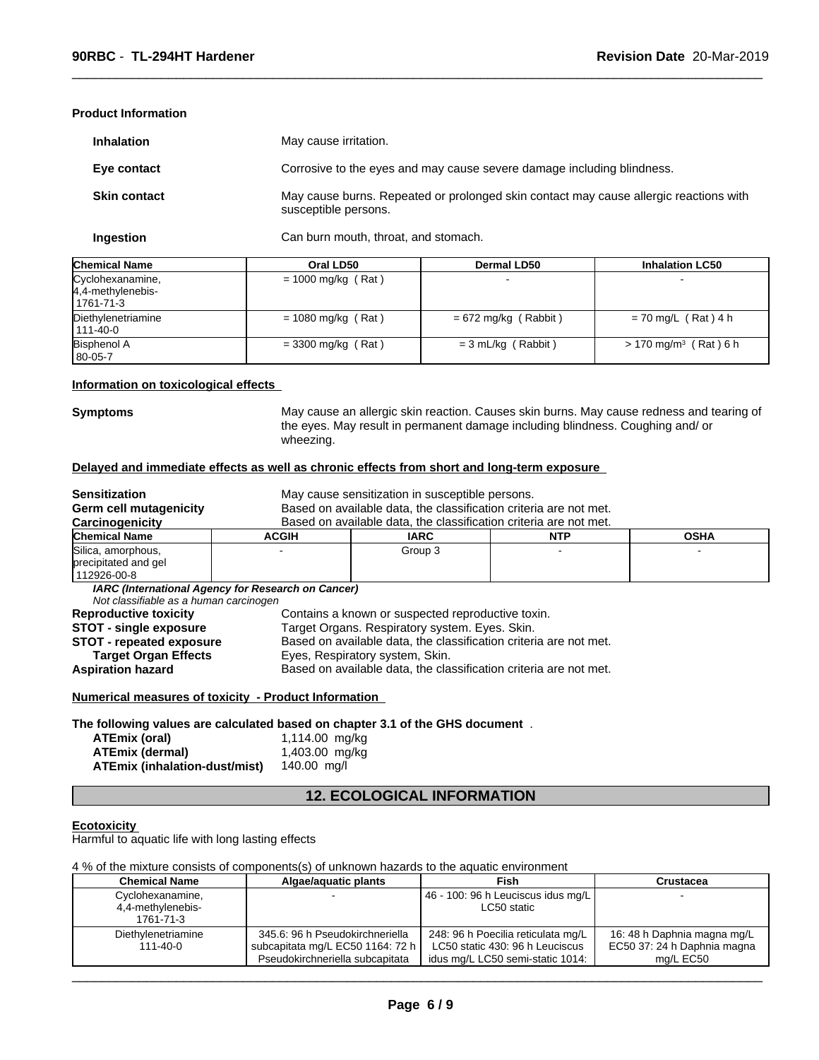#### **Product Information**

| <b>Inhalation</b>   | May cause irritation.                                                                                         |
|---------------------|---------------------------------------------------------------------------------------------------------------|
| Eye contact         | Corrosive to the eyes and may cause severe damage including blindness.                                        |
| <b>Skin contact</b> | May cause burns. Repeated or prolonged skin contact may cause allergic reactions with<br>susceptible persons. |

 $\overline{\phantom{a}}$  ,  $\overline{\phantom{a}}$  ,  $\overline{\phantom{a}}$  ,  $\overline{\phantom{a}}$  ,  $\overline{\phantom{a}}$  ,  $\overline{\phantom{a}}$  ,  $\overline{\phantom{a}}$  ,  $\overline{\phantom{a}}$  ,  $\overline{\phantom{a}}$  ,  $\overline{\phantom{a}}$  ,  $\overline{\phantom{a}}$  ,  $\overline{\phantom{a}}$  ,  $\overline{\phantom{a}}$  ,  $\overline{\phantom{a}}$  ,  $\overline{\phantom{a}}$  ,  $\overline{\phantom{a}}$ 

**Ingestion** Can burn mouth, throat, and stomach.

| <b>Chemical Name</b>                               | Oral LD50            | Dermal LD50            | <b>Inhalation LC50</b>              |
|----------------------------------------------------|----------------------|------------------------|-------------------------------------|
| Cyclohexanamine,<br>4,4-methylenebis-<br>1761-71-3 | $= 1000$ mg/kg (Rat) |                        |                                     |
| Diethylenetriamine<br>  111-40-0                   | $= 1080$ mg/kg (Rat) | $= 672$ mg/kg (Rabbit) | $= 70$ mg/L (Rat) 4 h               |
| <b>Bisphenol A</b><br>$180 - 05 - 7$               | $=$ 3300 mg/kg (Rat) | $=$ 3 mL/kg (Rabbit)   | $> 170$ mg/m <sup>3</sup> (Rat) 6 h |

#### **Information on toxicological effects**

**Symptoms** May cause an allergic skin reaction. Causes skin burns. May cause redness and tearing of the eyes. May result in permanent damage including blindness. Coughing and/ or wheezing.

#### **Delayed and immediate effects as well as chronic effects from short and long-term exposure**

| <b>Sensitization</b>                                                          |                                                                   | May cause sensitization in susceptible persons.                   |            |             |
|-------------------------------------------------------------------------------|-------------------------------------------------------------------|-------------------------------------------------------------------|------------|-------------|
| <b>Germ cell mutagenicity</b>                                                 | Based on available data, the classification criteria are not met. |                                                                   |            |             |
| Carcinogenicity                                                               |                                                                   | Based on available data, the classification criteria are not met. |            |             |
| <b>Chemical Name</b>                                                          | <b>ACGIH</b>                                                      | <b>IARC</b>                                                       | <b>NTP</b> | <b>OSHA</b> |
| Silica, amorphous,                                                            |                                                                   | Group 3                                                           |            |             |
| precipitated and gel                                                          |                                                                   |                                                                   |            |             |
| 112926-00-8                                                                   |                                                                   |                                                                   |            |             |
|                                                                               | IARC (International Agency for Research on Cancer)                |                                                                   |            |             |
| Not classifiable as a human carcinogen                                        |                                                                   |                                                                   |            |             |
| <b>Reproductive toxicity</b>                                                  |                                                                   | Contains a known or suspected reproductive toxin.                 |            |             |
| <b>STOT - single exposure</b>                                                 | Target Organs. Respiratory system. Eyes. Skin.                    |                                                                   |            |             |
| <b>STOT - repeated exposure</b>                                               | Based on available data, the classification criteria are not met. |                                                                   |            |             |
| <b>Target Organ Effects</b>                                                   | Eyes, Respiratory system, Skin.                                   |                                                                   |            |             |
| <b>Aspiration hazard</b>                                                      |                                                                   | Based on available data, the classification criteria are not met. |            |             |
| Numerical measures of toxicity - Product Information                          |                                                                   |                                                                   |            |             |
| The following values are calculated based on chapter 3.1 of the GHS document. |                                                                   |                                                                   |            |             |

| ATEmix (oral)                 | 1,114.00 mg/kg |
|-------------------------------|----------------|
| ATEmix (dermal)               | 1,403.00 mg/kg |
| ATEmix (inhalation-dust/mist) | 140.00 ma/l    |

#### **12. ECOLOGICAL INFORMATION**

#### **Ecotoxicity**

Harmful to aquatic life with long lasting effects

#### 4 % of the mixture consists of components(s) of unknown hazards to the aquatic environment

| Chemical Name      | Algae/aguatic plants             | Fish                               | <b>Crustacea</b>            |
|--------------------|----------------------------------|------------------------------------|-----------------------------|
| Cyclohexanamine,   |                                  | 46 - 100: 96 h Leuciscus idus mg/L |                             |
| 4,4-methylenebis-  |                                  | LC50 static                        |                             |
| 1761-71-3          |                                  |                                    |                             |
| Diethylenetriamine | 345.6: 96 h Pseudokirchneriella  | 248: 96 h Poecilia reticulata mg/L | 16: 48 h Daphnia magna mg/L |
| $111 - 40 - 0$     | subcapitata mg/L EC50 1164: 72 h | LC50 static 430: 96 h Leuciscus    | EC50 37: 24 h Daphnia magna |
|                    | Pseudokirchneriella subcapitata  | idus mg/L LC50 semi-static 1014:   | ma/L EC50                   |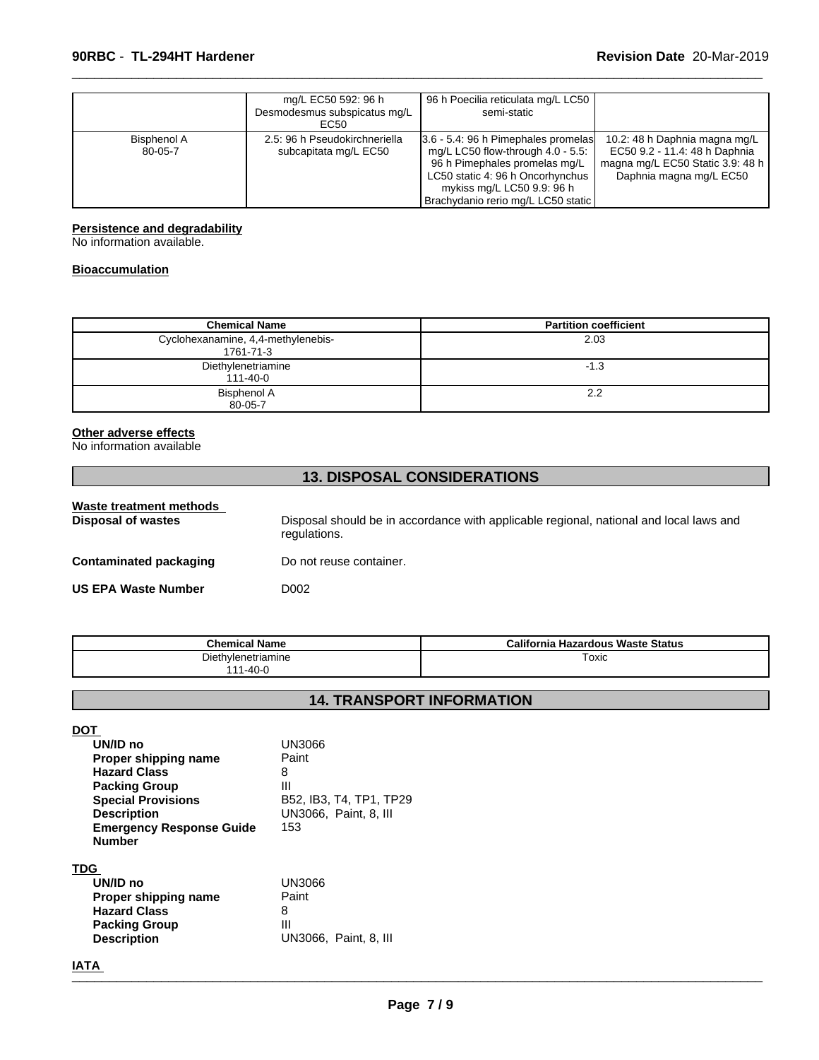|                        | mg/L EC50 592: 96 h<br>Desmodesmus subspicatus mg/L<br>EC50 | 96 h Poecilia reticulata mg/L LC50<br>semi-static                                                                                                                                                                    |                                                                                                                               |
|------------------------|-------------------------------------------------------------|----------------------------------------------------------------------------------------------------------------------------------------------------------------------------------------------------------------------|-------------------------------------------------------------------------------------------------------------------------------|
| Bisphenol A<br>80-05-7 | 2.5: 96 h Pseudokirchneriella<br>subcapitata mg/L EC50      | 3.6 - 5.4: 96 h Pimephales promelas<br>mg/L LC50 flow-through $4.0 - 5.5$ :<br>96 h Pimephales promelas mg/L<br>LC50 static 4: 96 h Oncorhynchus<br>mykiss mg/L LC50 9.9: 96 h<br>Brachydanio rerio mg/L LC50 static | 10.2: 48 h Daphnia magna mg/L<br>EC50 9.2 - 11.4: 48 h Daphnia<br>magna mg/L EC50 Static 3.9: 48 h<br>Daphnia magna mg/L EC50 |

 $\overline{\phantom{a}}$  ,  $\overline{\phantom{a}}$  ,  $\overline{\phantom{a}}$  ,  $\overline{\phantom{a}}$  ,  $\overline{\phantom{a}}$  ,  $\overline{\phantom{a}}$  ,  $\overline{\phantom{a}}$  ,  $\overline{\phantom{a}}$  ,  $\overline{\phantom{a}}$  ,  $\overline{\phantom{a}}$  ,  $\overline{\phantom{a}}$  ,  $\overline{\phantom{a}}$  ,  $\overline{\phantom{a}}$  ,  $\overline{\phantom{a}}$  ,  $\overline{\phantom{a}}$  ,  $\overline{\phantom{a}}$ 

#### **Persistence and degradability**

No information available.

#### **Bioaccumulation**

| <b>Chemical Name</b>                            | <b>Partition coefficient</b> |
|-------------------------------------------------|------------------------------|
| Cyclohexanamine, 4,4-methylenebis-<br>1761-71-3 | 2.03                         |
| Diethylenetriamine<br>111-40-0                  | $-1.3$                       |
| Bisphenol A<br>80-05-7                          | 2.2                          |

#### **Other adverse effects**

No information available

# **13. DISPOSAL CONSIDERATIONS Waste treatment methods**  Disposal should be in accordance with applicable regional, national and local laws and regulations. **Contaminated packaging** Do not reuse container. **US EPA Waste Number D002**

| <b>Chemical Name</b>                      | California Hazardous Waste Status |
|-------------------------------------------|-----------------------------------|
| Diethylenetriamine<br>$1 - 40 - 0$<br>144 | Toxic                             |

### **14. TRANSPORT INFORMATION**

#### **DOT**

| UN/ID no                        | UN3066                  |
|---------------------------------|-------------------------|
| Proper shipping name            | Paint                   |
| <b>Hazard Class</b>             | 8                       |
| <b>Packing Group</b>            | Ш                       |
| <b>Special Provisions</b>       | B52, IB3, T4, TP1, TP29 |
| <b>Description</b>              | UN3066, Paint, 8, III   |
| <b>Emergency Response Guide</b> | 153                     |
| <b>Number</b>                   |                         |
|                                 |                         |

#### **TDG**

| UN/ID no             | UN3066                       |
|----------------------|------------------------------|
| Proper shipping name | Paint                        |
| <b>Hazard Class</b>  | 8                            |
| <b>Packing Group</b> | Ш                            |
| <b>Description</b>   | <b>UN3066. Paint, 8. III</b> |

# **IATA** \_\_\_\_\_\_\_\_\_\_\_\_\_\_\_\_\_\_\_\_\_\_\_\_\_\_\_\_\_\_\_\_\_\_\_\_\_\_\_\_\_\_\_\_\_\_\_\_\_\_\_\_\_\_\_\_\_\_\_\_\_\_\_\_\_\_\_\_\_\_\_\_\_\_\_\_\_\_\_\_\_\_\_\_\_\_\_\_\_\_\_\_\_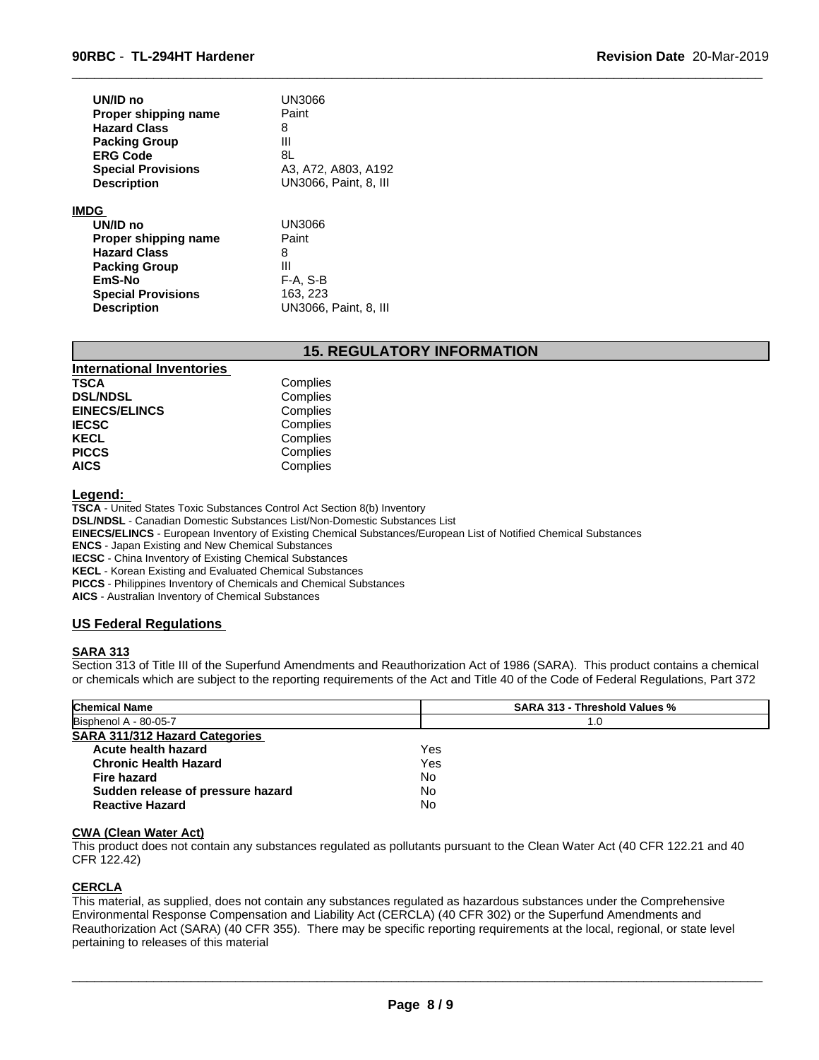| UN/ID no<br>Proper shipping name<br><b>Hazard Class</b><br><b>Packing Group</b><br><b>ERG Code</b><br><b>Special Provisions</b><br><b>Description</b> | UN3066<br>Paint<br>8<br>Ш<br>8L<br>A3, A72, A803, A192<br>UN3066, Paint, 8, III |
|-------------------------------------------------------------------------------------------------------------------------------------------------------|---------------------------------------------------------------------------------|
| <b>IMDG</b>                                                                                                                                           |                                                                                 |
| UN/ID no                                                                                                                                              | UN3066                                                                          |
| Proper shipping name                                                                                                                                  | Paint                                                                           |
| <b>Hazard Class</b>                                                                                                                                   | 8                                                                               |
| <b>Packing Group</b>                                                                                                                                  | Ш                                                                               |
| EmS-No                                                                                                                                                | F-A, S-B                                                                        |
| <b>Special Provisions</b>                                                                                                                             | 163, 223                                                                        |
| <b>Description</b>                                                                                                                                    | UN3066, Paint, 8, III                                                           |

#### **15. REGULATORY INFORMATION**

 $\overline{\phantom{a}}$  ,  $\overline{\phantom{a}}$  ,  $\overline{\phantom{a}}$  ,  $\overline{\phantom{a}}$  ,  $\overline{\phantom{a}}$  ,  $\overline{\phantom{a}}$  ,  $\overline{\phantom{a}}$  ,  $\overline{\phantom{a}}$  ,  $\overline{\phantom{a}}$  ,  $\overline{\phantom{a}}$  ,  $\overline{\phantom{a}}$  ,  $\overline{\phantom{a}}$  ,  $\overline{\phantom{a}}$  ,  $\overline{\phantom{a}}$  ,  $\overline{\phantom{a}}$  ,  $\overline{\phantom{a}}$ 

| <b>International Inventories</b> |          |  |
|----------------------------------|----------|--|
| TSCA                             | Complies |  |
| <b>DSL/NDSL</b>                  | Complies |  |
| <b>EINECS/ELINCS</b>             | Complies |  |
| <b>IECSC</b>                     | Complies |  |
| KECL                             | Complies |  |
| <b>PICCS</b>                     | Complies |  |
| <b>AICS</b>                      | Complies |  |

#### **Legend:**

**TSCA** - United States Toxic Substances Control Act Section 8(b) Inventory **DSL/NDSL** - Canadian Domestic Substances List/Non-Domestic Substances List **EINECS/ELINCS** - European Inventory of Existing Chemical Substances/European List of Notified Chemical Substances **ENCS** - Japan Existing and New Chemical Substances **IECSC** - China Inventory of Existing Chemical Substances **KECL** - Korean Existing and Evaluated Chemical Substances

**PICCS** - Philippines Inventory of Chemicals and Chemical Substances

**AICS** - Australian Inventory of Chemical Substances

#### **US Federal Regulations**

#### **SARA 313**

Section 313 of Title III of the Superfund Amendments and Reauthorization Act of 1986 (SARA). This product contains a chemical or chemicals which are subject to the reporting requirements of the Act and Title 40 of the Code of Federal Regulations, Part 372

| <b>Chemical Name</b>                  | <b>SARA 313 - Threshold Values %</b> |
|---------------------------------------|--------------------------------------|
| Bisphenol A - 80-05-7                 | 1.0                                  |
| <b>SARA 311/312 Hazard Categories</b> |                                      |
| Acute health hazard                   | Yes                                  |
| <b>Chronic Health Hazard</b>          | Yes                                  |
| Fire hazard                           | No                                   |
| Sudden release of pressure hazard     | No                                   |
| <b>Reactive Hazard</b>                | No                                   |

#### **CWA (Clean Water Act)**

This product does not contain any substances regulated as pollutants pursuant to the Clean Water Act (40 CFR 122.21 and 40 CFR 122.42)

#### **CERCLA**

This material, as supplied, does not contain any substances regulated as hazardous substances under the Comprehensive Environmental Response Compensation and Liability Act (CERCLA) (40 CFR 302) or the Superfund Amendments and Reauthorization Act (SARA) (40 CFR 355). There may be specific reporting requirements at the local, regional, or state level pertaining to releases of this material